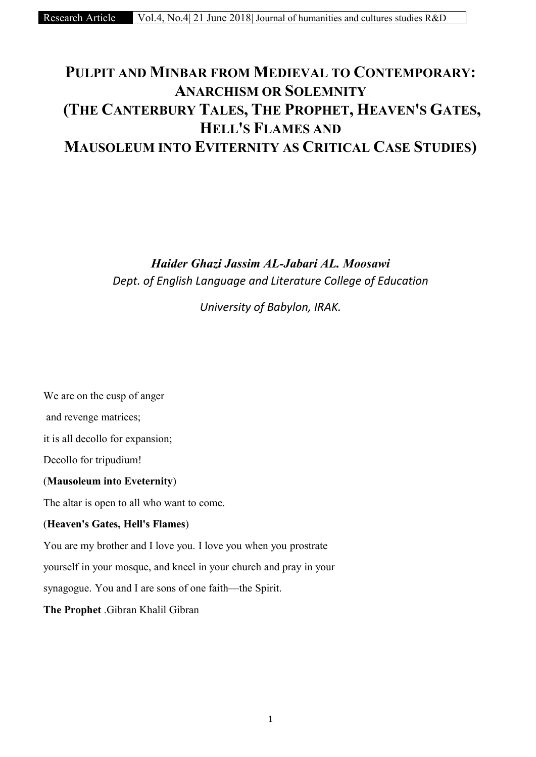# PULPIT AND MINBAR FROM MEDIEVAL TO CONTEMPORARY: ANARCHISM OR SOLEMNITY (THE CANTERBURY TALES, THE PROPHET, HEAVEN'S GATES, HELL'S FLAMES AND MAUSOLEUM INTO EVITERNITY AS CRITICAL CASE STUDIES)

*Haider Ghazi Jassim AL-Jabari AL. Moosawi Dept. of English Language and Literature College of Education*

*University of Babylon, IRAK.*

We are on the cusp of anger and revenge matrices; it is all decollo for expansion; Decollo for tripudium! (Mausoleum into Eveternity) The altar is open to all who want to come. (Heaven's Gates, Hell's Flames) You are my brother and I love you. I love you when you prostrate yourself in your mosque, and kneel in your church and pray in your

synagogue. You and I are sons of one faith—the Spirit.

The Prophet .Gibran Khalil Gibran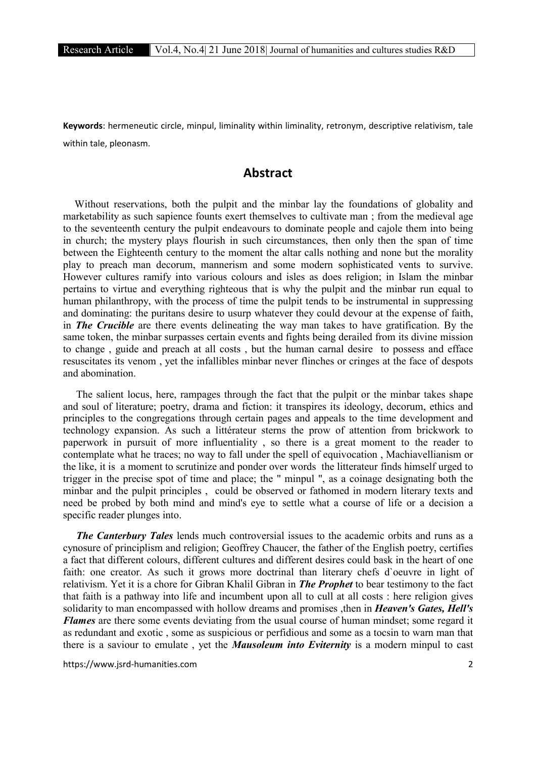**Keywords**: hermeneutic circle, minpul, liminality within liminality, retronym, descriptive relativism, tale within tale, pleonasm.

## **Abstract**

Without reservations, both the pulpit and the minbar lay the foundations of globality and marketability as such sapience founts exert themselves to cultivate man ; from the medieval age to the seventeenth century the pulpit endeavours to dominate people and cajole them into being in church; the mystery plays flourish in such circumstances, then only then the span of time between the Eighteenth century to the moment the altar calls nothing and none but the morality play to preach man decorum, mannerism and some modern sophisticated vents to survive. However cultures ramify into various colours and isles as does religion; in Islam the minbar pertains to virtue and everything righteous that is why the pulpit and the minbar run equal to human philanthropy, with the process of time the pulpit tends to be instrumental in suppressing and dominating: the puritans desire to usurp whatever they could devour at the expense of faith, in *The Crucible* are there events delineating the way man takes to have gratification. By the same token, the minbar surpasses certain events and fights being derailed from its divine mission to change , guide and preach at all costs , but the human carnal desire to possess and efface resuscitates its venom , yet the infallibles minbar never flinches or cringes at the face of despots and abomination.

 The salient locus, here, rampages through the fact that the pulpit or the minbar takes shape and soul of literature; poetry, drama and fiction: it transpires its ideology, decorum, ethics and principles to the congregations through certain pages and appeals to the time development and technology expansion. As such a littérateur sterns the prow of attention from brickwork to paperwork in pursuit of more influentiality , so there is a great moment to the reader to contemplate what he traces; no way to fall under the spell of equivocation , Machiavellianism or the like, it is a moment to scrutinize and ponder over words the litterateur finds himself urged to trigger in the precise spot of time and place; the " minpul ", as a coinage designating both the minbar and the pulpit principles , could be observed or fathomed in modern literary texts and need be probed by both mind and mind's eye to settle what a course of life or a decision a specific reader plunges into.

 *The Canterbury Tales* lends much controversial issues to the academic orbits and runs as a cynosure of principlism and religion; Geoffrey Chaucer, the father of the English poetry, certifies a fact that different colours, different cultures and different desires could bask in the heart of one faith: one creator. As such it grows more doctrinal than literary chefs d`oeuvre in light of relativism. Yet it is a chore for Gibran Khalil Gibran in *The Prophet* to bear testimony to the fact that faith is a pathway into life and incumbent upon all to cull at all costs : here religion gives solidarity to man encompassed with hollow dreams and promises ,then in *Heaven's Gates, Hell's Flames* are there some events deviating from the usual course of human mindset; some regard it as redundant and exotic , some as suspicious or perfidious and some as a tocsin to warn man that there is a saviour to emulate , yet the *Mausoleum into Eviternity* is a modern minpul to cast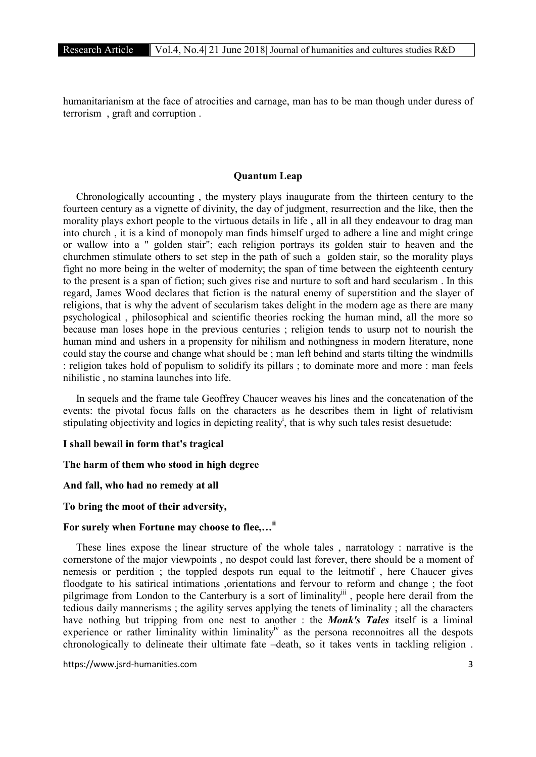humanitarianism at the face of atrocities and carnage, man has to be man though under duress of terrorism , graft and corruption .

#### Quantum Leap

 Chronologically accounting , the mystery plays inaugurate from the thirteen century to the fourteen century as a vignette of divinity, the day of judgment, resurrection and the like, then the morality plays exhort people to the virtuous details in life , all in all they endeavour to drag man into church , it is a kind of monopoly man finds himself urged to adhere a line and might cringe or wallow into a " golden stair"; each religion portrays its golden stair to heaven and the churchmen stimulate others to set step in the path of such a golden stair, so the morality plays fight no more being in the welter of modernity; the span of time between the eighteenth century to the present is a span of fiction; such gives rise and nurture to soft and hard secularism . In this regard, James Wood declares that fiction is the natural enemy of superstition and the slayer of religions, that is why the advent of secularism takes delight in the modern age as there are many psychological , philosophical and scientific theories rocking the human mind, all the more so because man loses hope in the previous centuries ; religion tends to usurp not to nourish the human mind and ushers in a propensity for nihilism and nothingness in modern literature, none could stay the course and change what should be ; man left behind and starts tilting the windmills : religion takes hold of populism to solidify its pillars ; to dominate more and more : man feels nihilistic , no stamina launches into life.

 In sequels and the frame tale Geoffrey Chaucer weaves his lines and the concatenation of the events: the pivotal focus falls on the characters as he describes them in light of relativism stipulating objectivity and logics in depicting reality<sup>i</sup>, that is why such tales resist desuetude:

#### I shall bewail in form that's tragical

#### The harm of them who stood in high degree

#### And fall, who had no remedy at all

#### To bring the moot of their adversity,

### For surely when Fortune may choose to flee,...<sup>ii</sup>

 These lines expose the linear structure of the whole tales , narratology : narrative is the cornerstone of the major viewpoints , no despot could last forever, there should be a moment of nemesis or perdition ; the toppled despots run equal to the leitmotif , here Chaucer gives floodgate to his satirical intimations ,orientations and fervour to reform and change ; the foot pilgrimage from London to the Canterbury is a sort of liminality<sup>iii</sup>, people here derail from the tedious daily mannerisms ; the agility serves applying the tenets of liminality ; all the characters have nothing but tripping from one nest to another : the *Monk's Tales* itself is a liminal experience or rather liminality within liminality<sup>iv</sup> as the persona reconnoitres all the despots chronologically to delineate their ultimate fate –death, so it takes vents in tackling religion .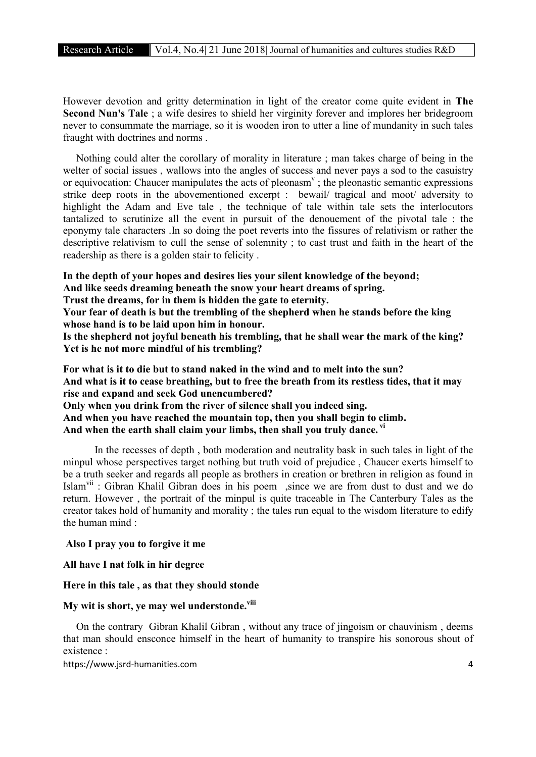However devotion and gritty determination in light of the creator come quite evident in The Second Nun's Tale ; a wife desires to shield her virginity forever and implores her bridegroom never to consummate the marriage, so it is wooden iron to utter a line of mundanity in such tales fraught with doctrines and norms .

 Nothing could alter the corollary of morality in literature ; man takes charge of being in the welter of social issues , wallows into the angles of success and never pays a sod to the casuistry or equivocation: Chaucer manipulates the acts of pleonasm<sup> $v$ </sup>; the pleonastic semantic expressions strike deep roots in the abovementioned excerpt : bewail/ tragical and moot/ adversity to highlight the Adam and Eve tale , the technique of tale within tale sets the interlocutors tantalized to scrutinize all the event in pursuit of the denouement of the pivotal tale : the eponymy tale characters .In so doing the poet reverts into the fissures of relativism or rather the descriptive relativism to cull the sense of solemnity ; to cast trust and faith in the heart of the readership as there is a golden stair to felicity .

In the depth of your hopes and desires lies your silent knowledge of the beyond;

And like seeds dreaming beneath the snow your heart dreams of spring.

Trust the dreams, for in them is hidden the gate to eternity.

Your fear of death is but the trembling of the shepherd when he stands before the king whose hand is to be laid upon him in honour.

Is the shepherd not joyful beneath his trembling, that he shall wear the mark of the king? Yet is he not more mindful of his trembling?

For what is it to die but to stand naked in the wind and to melt into the sun? And what is it to cease breathing, but to free the breath from its restless tides, that it may rise and expand and seek God unencumbered? Only when you drink from the river of silence shall you indeed sing. And when you have reached the mountain top, then you shall begin to climb. And when the earth shall claim your limbs, then shall you truly dance. vi

 In the recesses of depth , both moderation and neutrality bask in such tales in light of the minpul whose perspectives target nothing but truth void of prejudice , Chaucer exerts himself to be a truth seeker and regards all people as brothers in creation or brethren in religion as found in Islam<sup>vii</sup>: Gibran Khalil Gibran does in his poem, since we are from dust to dust and we do return. However , the portrait of the minpul is quite traceable in The Canterbury Tales as the creator takes hold of humanity and morality ; the tales run equal to the wisdom literature to edify the human mind :

#### Also I pray you to forgive it me

All have I nat folk in hir degree

### Here in this tale , as that they should stonde

### My wit is short, ye may wel understonde.<sup>viii</sup>

 On the contrary Gibran Khalil Gibran , without any trace of jingoism or chauvinism , deems that man should ensconce himself in the heart of humanity to transpire his sonorous shout of existence :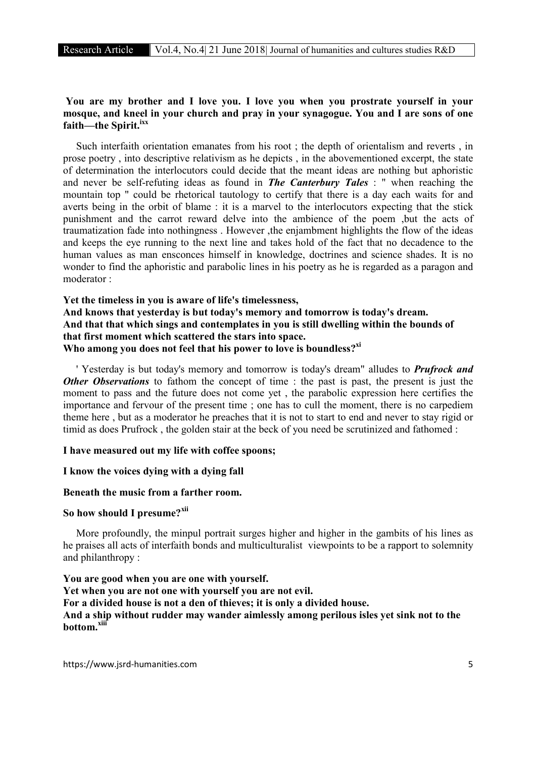### You are my brother and I love you. I love you when you prostrate yourself in your mosque, and kneel in your church and pray in your synagogue. You and I are sons of one faith—the Spirit.<sup>ixx</sup>

 Such interfaith orientation emanates from his root ; the depth of orientalism and reverts , in prose poetry , into descriptive relativism as he depicts , in the abovementioned excerpt, the state of determination the interlocutors could decide that the meant ideas are nothing but aphoristic and never be self-refuting ideas as found in *The Canterbury Tales* : " when reaching the mountain top " could be rhetorical tautology to certify that there is a day each waits for and averts being in the orbit of blame : it is a marvel to the interlocutors expecting that the stick punishment and the carrot reward delve into the ambience of the poem ,but the acts of traumatization fade into nothingness . However ,the enjambment highlights the flow of the ideas and keeps the eye running to the next line and takes hold of the fact that no decadence to the human values as man ensconces himself in knowledge, doctrines and science shades. It is no wonder to find the aphoristic and parabolic lines in his poetry as he is regarded as a paragon and moderator :

### Yet the timeless in you is aware of life's timelessness, And knows that yesterday is but today's memory and tomorrow is today's dream. And that that which sings and contemplates in you is still dwelling within the bounds of that first moment which scattered the stars into space. Who among you does not feel that his power to love is boundless? $x^{x}$

 ' Yesterday is but today's memory and tomorrow is today's dream" alludes to *Prufrock and Other Observations* to fathom the concept of time : the past is past, the present is just the moment to pass and the future does not come yet , the parabolic expression here certifies the importance and fervour of the present time ; one has to cull the moment, there is no carpediem theme here , but as a moderator he preaches that it is not to start to end and never to stay rigid or timid as does Prufrock , the golden stair at the beck of you need be scrutinized and fathomed :

#### I have measured out my life with coffee spoons;

#### I know the voices dying with a dying fall

#### Beneath the music from a farther room.

### So how should I presume?<sup>xii</sup>

 More profoundly, the minpul portrait surges higher and higher in the gambits of his lines as he praises all acts of interfaith bonds and multiculturalist viewpoints to be a rapport to solemnity and philanthropy :

You are good when you are one with yourself. Yet when you are not one with yourself you are not evil. For a divided house is not a den of thieves; it is only a divided house. And a ship without rudder may wander aimlessly among perilous isles yet sink not to the bottom.xiii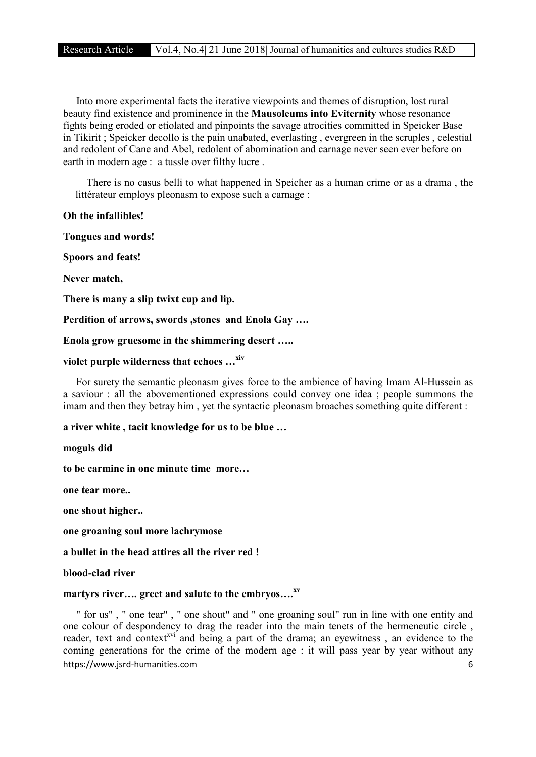Into more experimental facts the iterative viewpoints and themes of disruption, lost rural beauty find existence and prominence in the Mausoleums into Eviternity whose resonance fights being eroded or etiolated and pinpoints the savage atrocities committed in Speicker Base in Tikirit ; Speicker decollo is the pain unabated, everlasting , evergreen in the scruples , celestial and redolent of Cane and Abel, redolent of abomination and carnage never seen ever before on earth in modern age : a tussle over filthy lucre .

 There is no casus belli to what happened in Speicher as a human crime or as a drama , the littérateur employs pleonasm to expose such a carnage :

#### Oh the infallibles!

Tongues and words!

Spoors and feats!

Never match,

There is many a slip twixt cup and lip.

Perdition of arrows, swords , stones and Enola Gay ....

Enola grow gruesome in the shimmering desert …..

### violet purple wilderness that echoes ...<sup>xiv</sup>

 For surety the semantic pleonasm gives force to the ambience of having Imam Al-Hussein as a saviour : all the abovementioned expressions could convey one idea ; people summons the imam and then they betray him , yet the syntactic pleonasm broaches something quite different :

a river white , tacit knowledge for us to be blue …

moguls did

to be carmine in one minute time more…

one tear more..

one shout higher..

one groaning soul more lachrymose

a bullet in the head attires all the river red !

blood-clad river

### martyrs river.... greet and salute to the embryos....<sup>xv</sup>

https://www.jsrd-humanities.com 6 " for us" , " one tear" , " one shout" and " one groaning soul" run in line with one entity and one colour of despondency to drag the reader into the main tenets of the hermeneutic circle , reader, text and context<sup>xvi</sup> and being a part of the drama; an eyewitness, an evidence to the coming generations for the crime of the modern age : it will pass year by year without any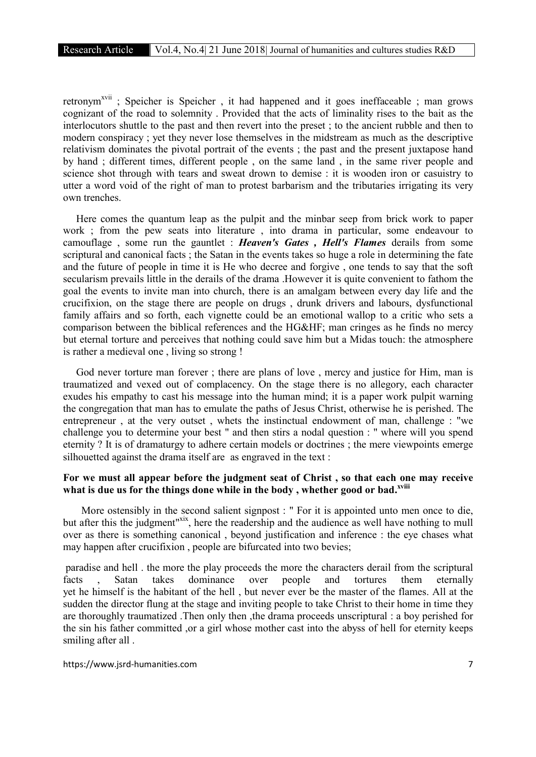retronym<sup>xvii</sup>; Speicher is Speicher, it had happened and it goes ineffaceable; man grows cognizant of the road to solemnity . Provided that the acts of liminality rises to the bait as the interlocutors shuttle to the past and then revert into the preset ; to the ancient rubble and then to modern conspiracy ; yet they never lose themselves in the midstream as much as the descriptive relativism dominates the pivotal portrait of the events ; the past and the present juxtapose hand by hand ; different times, different people , on the same land , in the same river people and science shot through with tears and sweat drown to demise : it is wooden iron or casuistry to utter a word void of the right of man to protest barbarism and the tributaries irrigating its very own trenches.

 Here comes the quantum leap as the pulpit and the minbar seep from brick work to paper work ; from the pew seats into literature , into drama in particular, some endeavour to camouflage , some run the gauntlet : *Heaven's Gates , Hell's Flames* derails from some scriptural and canonical facts ; the Satan in the events takes so huge a role in determining the fate and the future of people in time it is He who decree and forgive , one tends to say that the soft secularism prevails little in the derails of the drama .However it is quite convenient to fathom the goal the events to invite man into church, there is an amalgam between every day life and the crucifixion, on the stage there are people on drugs , drunk drivers and labours, dysfunctional family affairs and so forth, each vignette could be an emotional wallop to a critic who sets a comparison between the biblical references and the HG&HF; man cringes as he finds no mercy but eternal torture and perceives that nothing could save him but a Midas touch: the atmosphere is rather a medieval one , living so strong !

God never torture man forever; there are plans of love, mercy and justice for Him, man is traumatized and vexed out of complacency. On the stage there is no allegory, each character exudes his empathy to cast his message into the human mind; it is a paper work pulpit warning the congregation that man has to emulate the paths of Jesus Christ, otherwise he is perished. The entrepreneur , at the very outset , whets the instinctual endowment of man, challenge : "we challenge you to determine your best " and then stirs a nodal question : " where will you spend eternity ? It is of dramaturgy to adhere certain models or doctrines ; the mere viewpoints emerge silhouetted against the drama itself are as engraved in the text :

### For we must all appear before the judgment seat of Christ , so that each one may receive what is due us for the things done while in the body, whether good or bad.<sup>xviii</sup>

More ostensibly in the second salient signpost : " For it is appointed unto men once to die, but after this the judgment<sup>"xix</sup>, here the readership and the audience as well have nothing to mull over as there is something canonical , beyond justification and inference : the eye chases what may happen after crucifixion, people are bifurcated into two bevies;

paradise and hell . the more the play proceeds the more the characters derail from the scriptural facts , Satan takes dominance over people and tortures them eternally yet he himself is the habitant of the hell , but never ever be the master of the flames. All at the sudden the director flung at the stage and inviting people to take Christ to their home in time they are thoroughly traumatized .Then only then ,the drama proceeds unscriptural : a boy perished for the sin his father committed ,or a girl whose mother cast into the abyss of hell for eternity keeps smiling after all .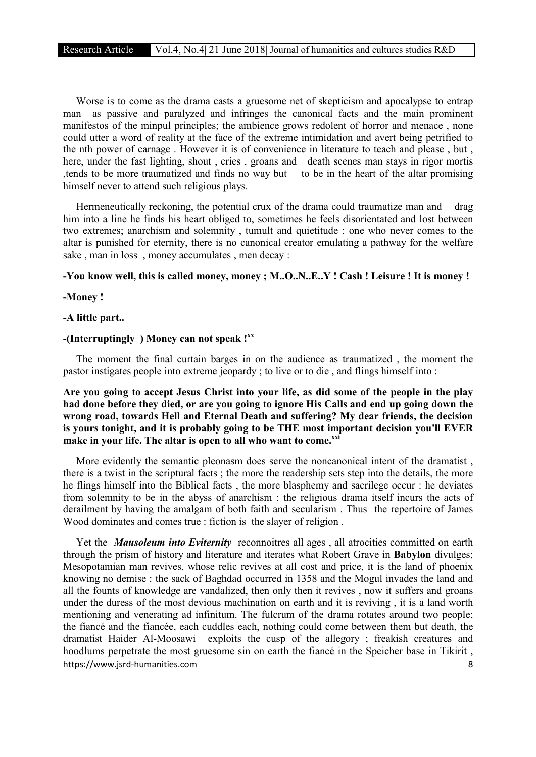Worse is to come as the drama casts a gruesome net of skepticism and apocalypse to entrap man as passive and paralyzed and infringes the canonical facts and the main prominent manifestos of the minpul principles; the ambience grows redolent of horror and menace , none could utter a word of reality at the face of the extreme intimidation and avert being petrified to the nth power of carnage . However it is of convenience in literature to teach and please , but , here, under the fast lighting, shout , cries , groans and death scenes man stays in rigor mortis ,tends to be more traumatized and finds no way but to be in the heart of the altar promising himself never to attend such religious plays.

Hermeneutically reckoning, the potential crux of the drama could traumatize man and drag him into a line he finds his heart obliged to, sometimes he feels disorientated and lost between two extremes; anarchism and solemnity , tumult and quietitude : one who never comes to the altar is punished for eternity, there is no canonical creator emulating a pathway for the welfare sake , man in loss , money accumulates , men decay :

#### -You know well, this is called money, money ; M..O..N..E..Y ! Cash ! Leisure ! It is money !

-Money !

#### -A little part..

### -(Interruptingly ) Money can not speak ! $^{xx}$

 The moment the final curtain barges in on the audience as traumatized , the moment the pastor instigates people into extreme jeopardy ; to live or to die , and flings himself into :

Are you going to accept Jesus Christ into your life, as did some of the people in the play had done before they died, or are you going to ignore His Calls and end up going down the wrong road, towards Hell and Eternal Death and suffering? My dear friends, the decision is yours tonight, and it is probably going to be THE most important decision you'll EVER make in your life. The altar is open to all who want to come.<sup>xxi</sup>

 More evidently the semantic pleonasm does serve the noncanonical intent of the dramatist , there is a twist in the scriptural facts ; the more the readership sets step into the details, the more he flings himself into the Biblical facts , the more blasphemy and sacrilege occur : he deviates from solemnity to be in the abyss of anarchism : the religious drama itself incurs the acts of derailment by having the amalgam of both faith and secularism . Thus the repertoire of James Wood dominates and comes true : fiction is the slayer of religion .

https://www.jsrd-humanities.com 8 Yet the *Mausoleum into Eviternity* reconnoitres all ages , all atrocities committed on earth through the prism of history and literature and iterates what Robert Grave in Babylon divulges; Mesopotamian man revives, whose relic revives at all cost and price, it is the land of phoenix knowing no demise : the sack of Baghdad occurred in 1358 and the Mogul invades the land and all the founts of knowledge are vandalized, then only then it revives , now it suffers and groans under the duress of the most devious machination on earth and it is reviving , it is a land worth mentioning and venerating ad infinitum. The fulcrum of the drama rotates around two people; the fiancé and the fiancée, each cuddles each, nothing could come between them but death, the dramatist Haider Al-Moosawi exploits the cusp of the allegory ; freakish creatures and hoodlums perpetrate the most gruesome sin on earth the fiancé in the Speicher base in Tikirit ,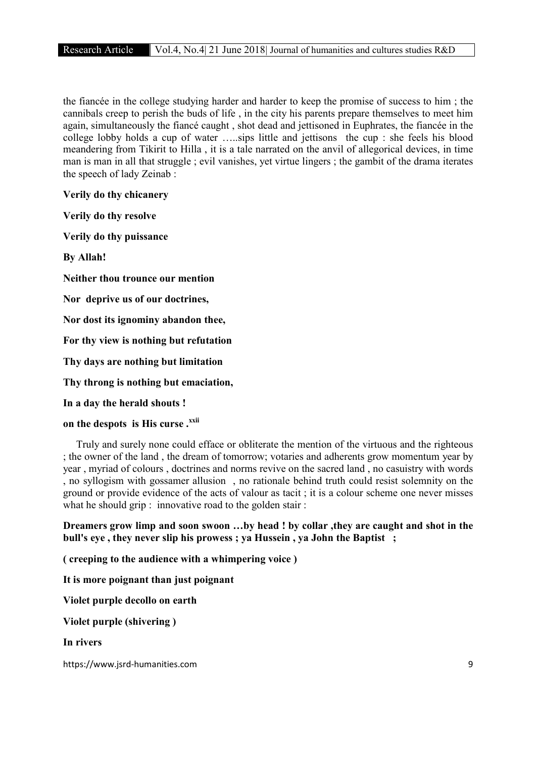the fiancée in the college studying harder and harder to keep the promise of success to him ; the cannibals creep to perish the buds of life , in the city his parents prepare themselves to meet him again, simultaneously the fiancé caught , shot dead and jettisoned in Euphrates, the fiancée in the college lobby holds a cup of water …..sips little and jettisons the cup : she feels his blood meandering from Tikirit to Hilla , it is a tale narrated on the anvil of allegorical devices, in time man is man in all that struggle ; evil vanishes, yet virtue lingers ; the gambit of the drama iterates the speech of lady Zeinab :

Verily do thy chicanery

Verily do thy resolve

Verily do thy puissance

By Allah!

Neither thou trounce our mention

Nor deprive us of our doctrines,

Nor dost its ignominy abandon thee,

For thy view is nothing but refutation

Thy days are nothing but limitation

Thy throng is nothing but emaciation,

In a day the herald shouts !

### on the despots is His curse .xxii

 Truly and surely none could efface or obliterate the mention of the virtuous and the righteous ; the owner of the land , the dream of tomorrow; votaries and adherents grow momentum year by year , myriad of colours , doctrines and norms revive on the sacred land , no casuistry with words , no syllogism with gossamer allusion , no rationale behind truth could resist solemnity on the ground or provide evidence of the acts of valour as tacit ; it is a colour scheme one never misses what he should grip : innovative road to the golden stair :

Dreamers grow limp and soon swoon …by head ! by collar ,they are caught and shot in the bull's eye , they never slip his prowess ; ya Hussein , ya John the Baptist ;

( creeping to the audience with a whimpering voice )

It is more poignant than just poignant

Violet purple decollo on earth

Violet purple (shivering )

In rivers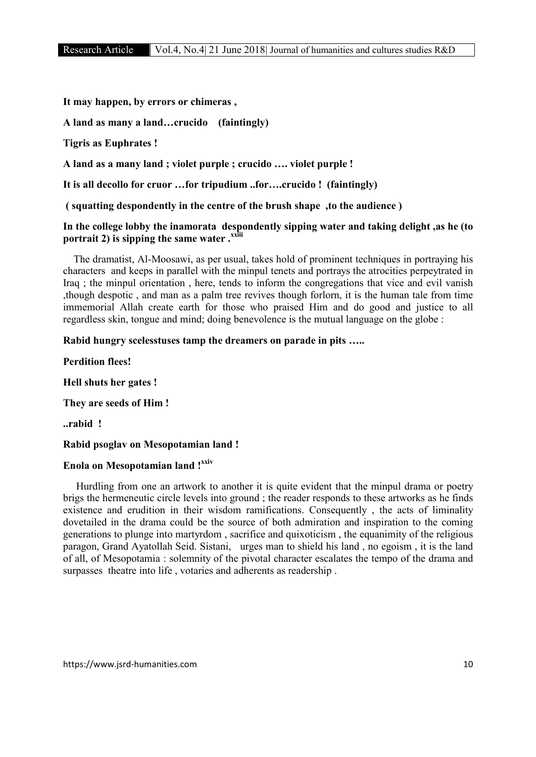It may happen, by errors or chimeras ,

A land as many a land…crucido (faintingly)

Tigris as Euphrates !

A land as a many land ; violet purple ; crucido …. violet purple !

It is all decollo for cruor …for tripudium ..for….crucido ! (faintingly)

( squatting despondently in the centre of the brush shape ,to the audience )

### In the college lobby the inamorata despondently sipping water and taking delight ,as he (to portrait 2) is sipping the same water  $\cdot$ <sup>xxiii</sup>

 The dramatist, Al-Moosawi, as per usual, takes hold of prominent techniques in portraying his characters and keeps in parallel with the minpul tenets and portrays the atrocities perpeytrated in Iraq ; the minpul orientation , here, tends to inform the congregations that vice and evil vanish ,though despotic , and man as a palm tree revives though forlorn, it is the human tale from time immemorial Allah create earth for those who praised Him and do good and justice to all regardless skin, tongue and mind; doing benevolence is the mutual language on the globe :

### Rabid hungry scelesstuses tamp the dreamers on parade in pits …..

Perdition flees!

Hell shuts her gates !

They are seeds of Him !

..rabid !

### Rabid psoglav on Mesopotamian land !

# Enola on Mesopotamian land !xxiv

 Hurdling from one an artwork to another it is quite evident that the minpul drama or poetry brigs the hermeneutic circle levels into ground ; the reader responds to these artworks as he finds existence and erudition in their wisdom ramifications. Consequently , the acts of liminality dovetailed in the drama could be the source of both admiration and inspiration to the coming generations to plunge into martyrdom , sacrifice and quixoticism , the equanimity of the religious paragon, Grand Ayatollah Seid. Sistani, urges man to shield his land , no egoism , it is the land of all, of Mesopotamia : solemnity of the pivotal character escalates the tempo of the drama and surpasses theatre into life , votaries and adherents as readership .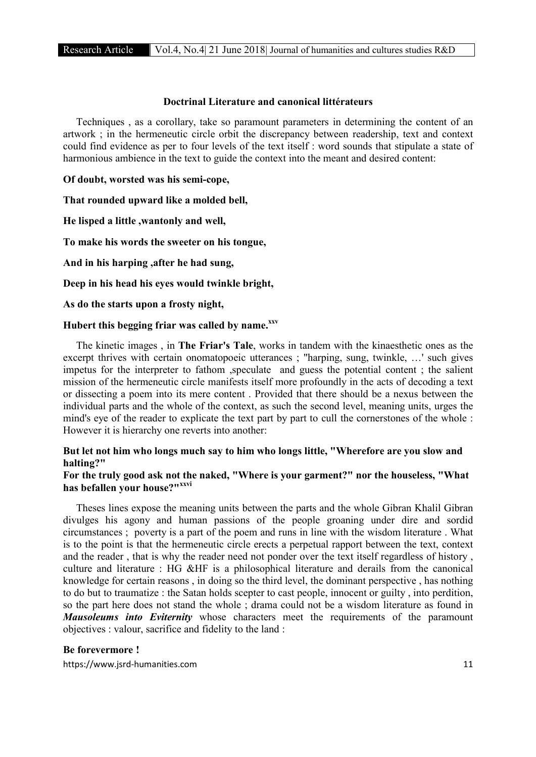### Doctrinal Literature and canonical littérateurs

 Techniques , as a corollary, take so paramount parameters in determining the content of an artwork ; in the hermeneutic circle orbit the discrepancy between readership, text and context could find evidence as per to four levels of the text itself : word sounds that stipulate a state of harmonious ambience in the text to guide the context into the meant and desired content:

Of doubt, worsted was his semi-cope,

That rounded upward like a molded bell,

He lisped a little ,wantonly and well,

To make his words the sweeter on his tongue,

And in his harping ,after he had sung,

Deep in his head his eyes would twinkle bright,

As do the starts upon a frosty night,

### Hubert this begging friar was called by name.xxv

 The kinetic images , in The Friar's Tale, works in tandem with the kinaesthetic ones as the excerpt thrives with certain onomatopoeic utterances ; "harping, sung, twinkle, …' such gives impetus for the interpreter to fathom ,speculate and guess the potential content ; the salient mission of the hermeneutic circle manifests itself more profoundly in the acts of decoding a text or dissecting a poem into its mere content . Provided that there should be a nexus between the individual parts and the whole of the context, as such the second level, meaning units, urges the mind's eye of the reader to explicate the text part by part to cull the cornerstones of the whole : However it is hierarchy one reverts into another:

### But let not him who longs much say to him who longs little, "Wherefore are you slow and halting?"

### For the truly good ask not the naked, "Where is your garment?" nor the houseless, "What has befallen your house?"<sup>xxvi</sup>

 Theses lines expose the meaning units between the parts and the whole Gibran Khalil Gibran divulges his agony and human passions of the people groaning under dire and sordid circumstances ; poverty is a part of the poem and runs in line with the wisdom literature . What is to the point is that the hermeneutic circle erects a perpetual rapport between the text, context and the reader , that is why the reader need not ponder over the text itself regardless of history , culture and literature : HG &HF is a philosophical literature and derails from the canonical knowledge for certain reasons , in doing so the third level, the dominant perspective , has nothing to do but to traumatize : the Satan holds scepter to cast people, innocent or guilty , into perdition, so the part here does not stand the whole ; drama could not be a wisdom literature as found in *Mausoleums into Eviternity* whose characters meet the requirements of the paramount objectives : valour, sacrifice and fidelity to the land :

#### Be forevermore !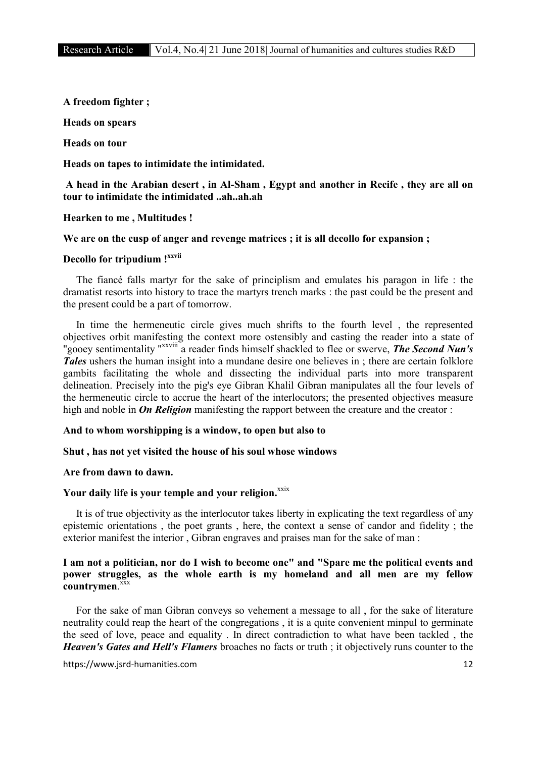A freedom fighter ;

Heads on spears

Heads on tour

Heads on tapes to intimidate the intimidated.

### A head in the Arabian desert , in Al-Sham , Egypt and another in Recife , they are all on tour to intimidate the intimidated ..ah..ah.ah

#### Hearken to me , Multitudes !

#### We are on the cusp of anger and revenge matrices ; it is all decollo for expansion ;

### Decollo for tripudium ! xxvii

 The fiancé falls martyr for the sake of principlism and emulates his paragon in life : the dramatist resorts into history to trace the martyrs trench marks : the past could be the present and the present could be a part of tomorrow.

 In time the hermeneutic circle gives much shrifts to the fourth level , the represented objectives orbit manifesting the context more ostensibly and casting the reader into a state of "gooey sentimentality "xxviii a reader finds himself shackled to flee or swerve, *The Second Nun's Tales* ushers the human insight into a mundane desire one believes in ; there are certain folklore gambits facilitating the whole and dissecting the individual parts into more transparent delineation. Precisely into the pig's eye Gibran Khalil Gibran manipulates all the four levels of the hermeneutic circle to accrue the heart of the interlocutors; the presented objectives measure high and noble in **On Religion** manifesting the rapport between the creature and the creator :

#### And to whom worshipping is a window, to open but also to

#### Shut , has not yet visited the house of his soul whose windows

### Are from dawn to dawn.

### Your daily life is your temple and your religion.<sup>xxix</sup>

 It is of true objectivity as the interlocutor takes liberty in explicating the text regardless of any epistemic orientations , the poet grants , here, the context a sense of candor and fidelity ; the exterior manifest the interior , Gibran engraves and praises man for the sake of man :

### I am not a politician, nor do I wish to become one" and "Spare me the political events and power struggles, as the whole earth is my homeland and all men are my fellow countrymen.<sup>xxx</sup>

 For the sake of man Gibran conveys so vehement a message to all , for the sake of literature neutrality could reap the heart of the congregations , it is a quite convenient minpul to germinate the seed of love, peace and equality . In direct contradiction to what have been tackled , the *Heaven's Gates and Hell's Flamers* broaches no facts or truth ; it objectively runs counter to the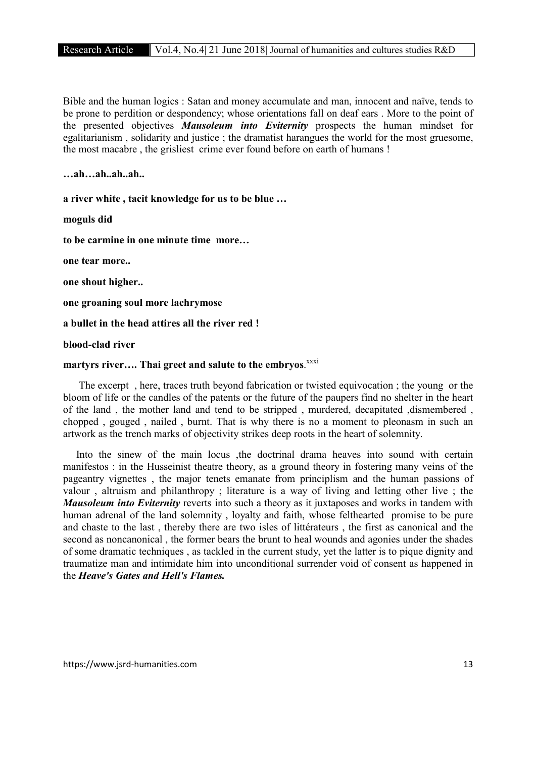Bible and the human logics : Satan and money accumulate and man, innocent and naïve, tends to be prone to perdition or despondency; whose orientations fall on deaf ears . More to the point of the presented objectives *Mausoleum into Eviternity* prospects the human mindset for egalitarianism , solidarity and justice ; the dramatist harangues the world for the most gruesome, the most macabre , the grisliest crime ever found before on earth of humans !

…ah…ah..ah..ah..

a river white , tacit knowledge for us to be blue …

moguls did

to be carmine in one minute time more…

one tear more..

one shout higher..

one groaning soul more lachrymose

a bullet in the head attires all the river red !

blood-clad river

# martyrs river.... Thai greet and salute to the embryos. XXXi

 The excerpt , here, traces truth beyond fabrication or twisted equivocation ; the young or the bloom of life or the candles of the patents or the future of the paupers find no shelter in the heart of the land , the mother land and tend to be stripped , murdered, decapitated ,dismembered , chopped , gouged , nailed , burnt. That is why there is no a moment to pleonasm in such an artwork as the trench marks of objectivity strikes deep roots in the heart of solemnity.

Into the sinew of the main locus , the doctrinal drama heaves into sound with certain manifestos : in the Husseinist theatre theory, as a ground theory in fostering many veins of the pageantry vignettes , the major tenets emanate from principlism and the human passions of valour , altruism and philanthropy ; literature is a way of living and letting other live ; the *Mausoleum into Eviternity* reverts into such a theory as it juxtaposes and works in tandem with human adrenal of the land solemnity , loyalty and faith, whose felthearted promise to be pure and chaste to the last , thereby there are two isles of littérateurs , the first as canonical and the second as noncanonical , the former bears the brunt to heal wounds and agonies under the shades of some dramatic techniques , as tackled in the current study, yet the latter is to pique dignity and traumatize man and intimidate him into unconditional surrender void of consent as happened in the *Heave's Gates and Hell's Flames.*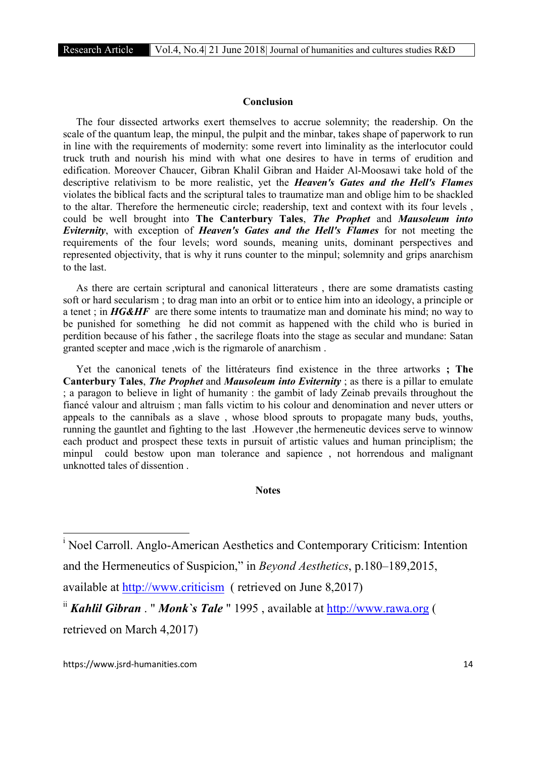### Conclusion

 The four dissected artworks exert themselves to accrue solemnity; the readership. On the scale of the quantum leap, the minpul, the pulpit and the minbar, takes shape of paperwork to run in line with the requirements of modernity: some revert into liminality as the interlocutor could truck truth and nourish his mind with what one desires to have in terms of erudition and edification. Moreover Chaucer, Gibran Khalil Gibran and Haider Al-Moosawi take hold of the descriptive relativism to be more realistic, yet the *Heaven's Gates and the Hell's Flames* violates the biblical facts and the scriptural tales to traumatize man and oblige him to be shackled to the altar. Therefore the hermeneutic circle; readership, text and context with its four levels , could be well brought into The Canterbury Tales, *The Prophet* and *Mausoleum into Eviternity*, with exception of *Heaven's Gates and the Hell's Flames* for not meeting the requirements of the four levels; word sounds, meaning units, dominant perspectives and represented objectivity, that is why it runs counter to the minpul; solemnity and grips anarchism to the last.

 As there are certain scriptural and canonical litterateurs , there are some dramatists casting soft or hard secularism ; to drag man into an orbit or to entice him into an ideology, a principle or a tenet ; in *HG&HF* are there some intents to traumatize man and dominate his mind; no way to be punished for something he did not commit as happened with the child who is buried in perdition because of his father , the sacrilege floats into the stage as secular and mundane: Satan granted scepter and mace ,wich is the rigmarole of anarchism .

 Yet the canonical tenets of the littérateurs find existence in the three artworks ; The Canterbury Tales, *The Prophet* and *Mausoleum into Eviternity* ; as there is a pillar to emulate ; a paragon to believe in light of humanity : the gambit of lady Zeinab prevails throughout the fiancé valour and altruism ; man falls victim to his colour and denomination and never utters or appeals to the cannibals as a slave , whose blood sprouts to propagate many buds, youths, running the gauntlet and fighting to the last .However ,the hermeneutic devices serve to winnow each product and prospect these texts in pursuit of artistic values and human principlism; the minpul could bestow upon man tolerance and sapience , not horrendous and malignant unknotted tales of dissention .

### **Notes**

i <sup>i</sup> Noel Carroll. Anglo-American Aesthetics and Contemporary Criticism: Intention and the Hermeneutics of Suspicion," in *Beyond Aesthetics*, p.180–189,2015,

available at http://www.criticism ( retrieved on June 8,2017)

ii *Kahlil Gibran* . " *Monk`s Tale* " 1995 , available at http://www.rawa.org ( retrieved on March 4,2017)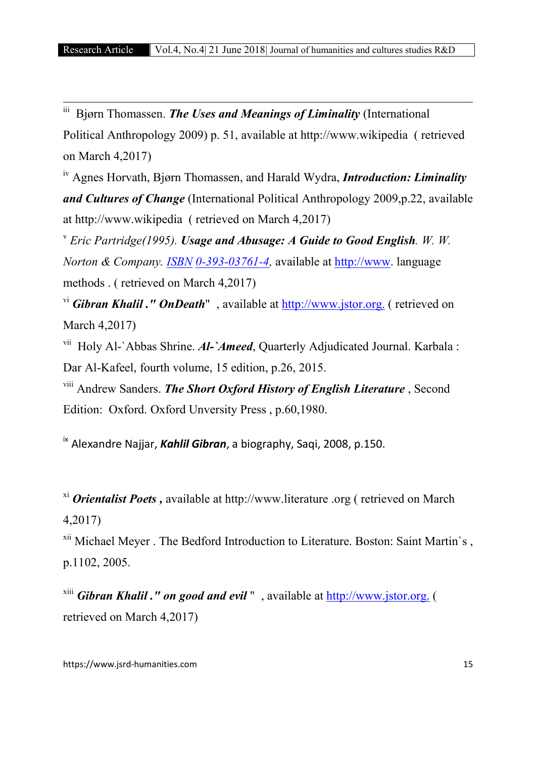iii Bjørn Thomassen. *The Uses and Meanings of Liminality* (International Political Anthropology 2009) p. 51, available at http://www.wikipedia ( retrieved on March 4,2017)

iv Agnes Horvath, Bjørn Thomassen, and Harald Wydra, *Introduction: Liminality and Cultures of Change* (International Political Anthropology 2009,p.22, available at http://www.wikipedia ( retrieved on March 4,2017)

<sup>v</sup> *Eric Partridge(1995). Usage and Abusage: A Guide to Good English. W. W. Norton & Company. ISBN 0-393-03761-4,* available at http://www. language methods . ( retrieved on March 4,2017)

<sup>vi</sup> *Gibran Khalil ." OnDeath*", available at **http://www.jstor.org.** (retrieved on March 4,2017)

vii Holy Al-`Abbas Shrine. *Al-`Ameed*, Quarterly Adjudicated Journal. Karbala : Dar Al-Kafeel, fourth volume, 15 edition, p.26, 2015.

viii Andrew Sanders. *The Short Oxford History of English Literature* , Second Edition: Oxford. Oxford Unversity Press , p.60,1980.

ix Alexandre Najjar, *Kahlil Gibran*, a biography, Saqi, 2008, p.150.

xi *Orientalist Poets ,* available at http://www.literature .org ( retrieved on March 4,2017)

xii Michael Meyer . The Bedford Introduction to Literature. Boston: Saint Martin`s , p.1102, 2005.

xiii *Gibran Khalil ." on good and evil* " , available at http://www.jstor.org. ( retrieved on March 4,2017)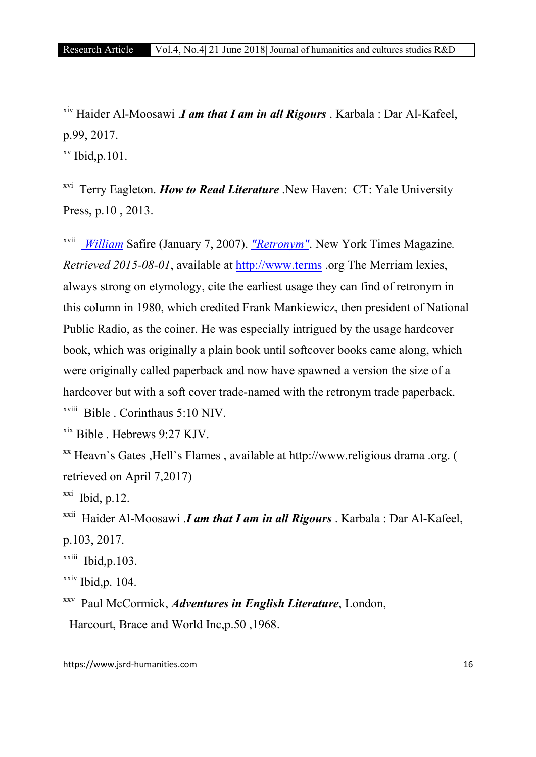xiv Haider Al-Moosawi .*I am that I am in all Rigours* . Karbala : Dar Al-Kafeel, p.99, 2017.

 $xv$  Ibid, p. 101.

xvi Terry Eagleton. *How to Read Literature* .New Haven: CT: Yale University Press, p.10 , 2013.

xvii *William* Safire (January 7, 2007). *"Retronym"*. New York Times Magazine*. Retrieved 2015-08-01*, available at http://www.terms .org The Merriam lexies, always strong on etymology, cite the earliest usage they can find of retronym in this column in 1980, which credited Frank Mankiewicz, then president of National Public Radio, as the coiner. He was especially intrigued by the usage hardcover book, which was originally a plain book until softcover books came along, which were originally called paperback and now have spawned a version the size of a hardcover but with a soft cover trade-named with the retronym trade paperback.  $x$ <sup>viii</sup> Bible . Corinthaus 5:10 NIV.

xix Bible . Hebrews 9:27 KJV.

xx Heavn`s Gates ,Hell`s Flames , available at http://www.religious drama .org. ( retrieved on April 7,2017)

 $xxi$  Ibid, p.12.

xxii Haider Al-Moosawi .*I am that I am in all Rigours* . Karbala : Dar Al-Kafeel, p.103, 2017.

 $x$ <sup>xxiii</sup> Ibid.p.103.

 $xxiv$  Ibid, p. 104.

xxv Paul McCormick, *Adventures in English Literature*, London,

Harcourt, Brace and World Inc,p.50 ,1968.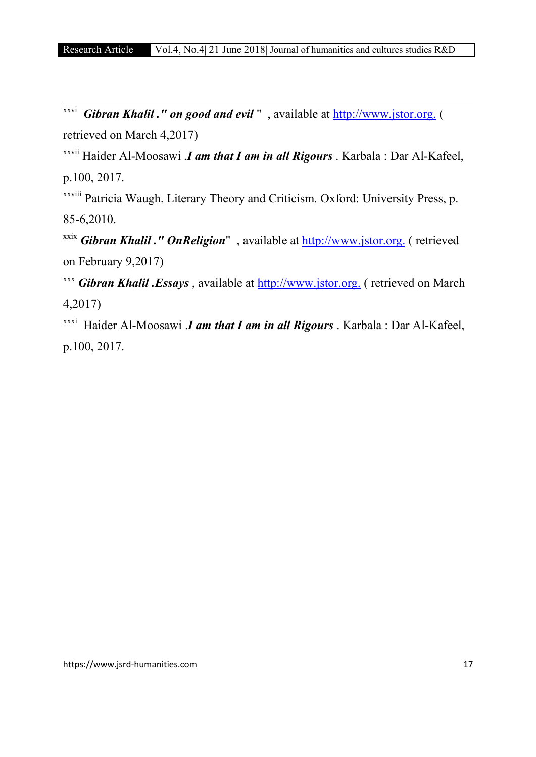xxvi *Gibran Khalil ." on good and evil* " , available at http://www.jstor.org. ( retrieved on March 4,2017)

xxvii Haider Al-Moosawi .*I am that I am in all Rigours* . Karbala : Dar Al-Kafeel, p.100, 2017.

xxviii Patricia Waugh. Literary Theory and Criticism. Oxford: University Press, p. 85-6,2010.

xxix *Gibran Khalil ." OnReligion*" , available at http://www.jstor.org. ( retrieved on February 9,2017)

xxx *Gibran Khalil .Essays* , available at http://www.jstor.org. ( retrieved on March 4,2017)

xxxi Haider Al-Moosawi .*I am that I am in all Rigours* . Karbala : Dar Al-Kafeel, p.100, 2017.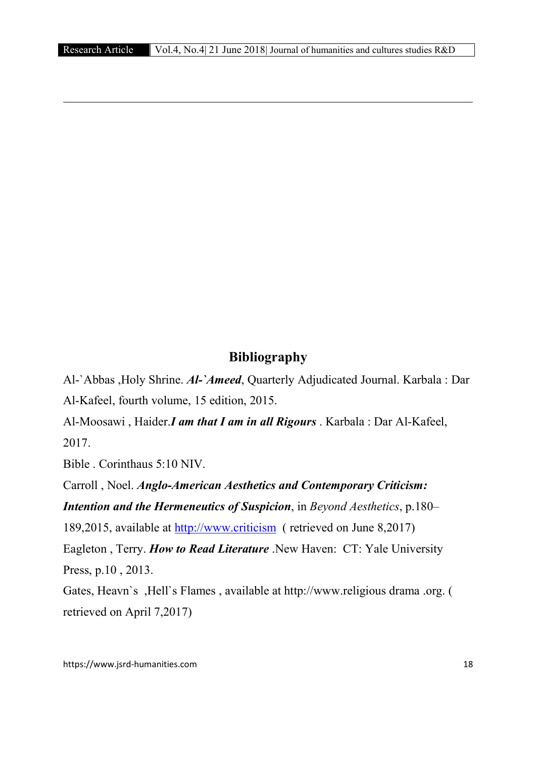# Bibliography

Al-`Abbas ,Holy Shrine. *Al-`Ameed*, Quarterly Adjudicated Journal. Karbala : Dar Al-Kafeel, fourth volume, 15 edition, 2015.

Al-Moosawi , Haider.*I am that I am in all Rigours* . Karbala : Dar Al-Kafeel, 2017.

Bible . Corinthaus 5:10 NIV.

**.** 

Carroll , Noel. *Anglo-American Aesthetics and Contemporary Criticism: Intention and the Hermeneutics of Suspicion*, in *Beyond Aesthetics*, p.180–

189,2015, available at http://www.criticism ( retrieved on June 8,2017)

Eagleton , Terry. *How to Read Literature* .New Haven: CT: Yale University Press, p.10 , 2013.

Gates, Heavn`s ,Hell`s Flames , available at http://www.religious drama .org. ( retrieved on April 7,2017)